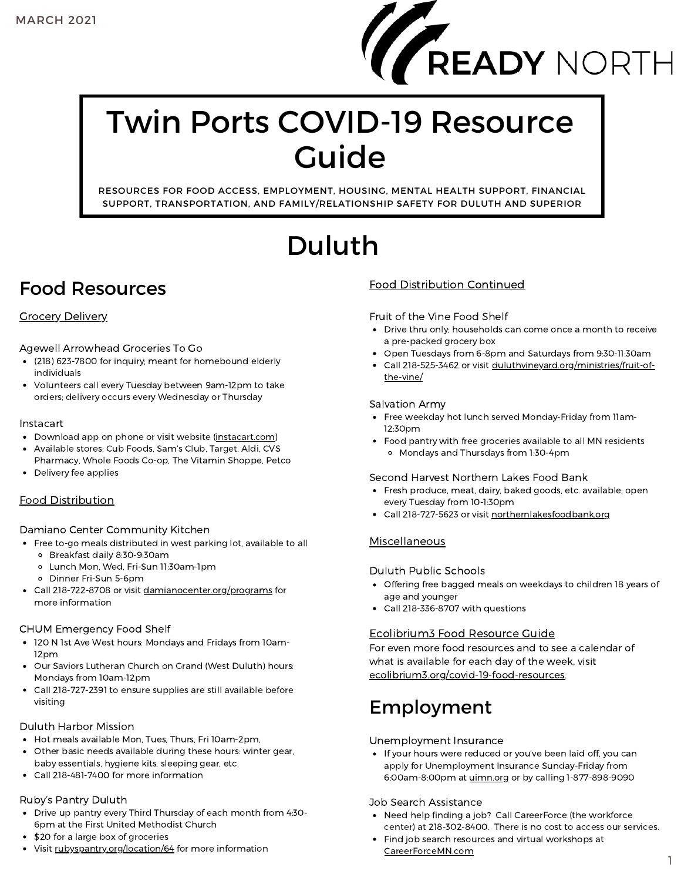

# Twin Ports COVID-19 Resource Guide

RESOURCES FOR FOOD ACCESS, EMPLOYMENT, HOUSING, MENTAL HEALTH SUPPORT, FINANCIAL SUPPORT, TRANSPORTATION, AND FAMILY/RELATIONSHIP SAFETY FOR DULUTH AND SUPERIOR

# Duluth

### Food Resources

#### Grocery Delivery

Agewell Arrowhead Groceries To Go

- (218) 623-7800 for inquiry; meant for homebound elderly individuals
- Volunteers call every Tuesday between 9am-12pm to take orders; delivery occurs every Wednesday or Thursday

#### Instacart

- Download app on phone or visit website [\(instacart.com](https://www.instacart.com/store/home))
- Available stores: Cub Foods, Sam's Club, Target, Aldi, CVS
- Pharmacy, Whole Foods Co-op, The Vitamin Shoppe, Petco • Delivery fee applies

#### Food Distribution

Damiano Center Community Kitchen

- Free to-go meals distributed in west parking lot, available to all
	- Breakfast daily 8:30-9:30am
	- Lunch Mon, Wed, Fri-Sun 11:30am-1pm
	- Dinner Fri-Sun 5-6pm
- Call 218-722-8708 or visit [damianocenter.org/programs](https://www.damianocenter.org/programs) for more information

#### CHUM Emergency Food Shelf

- 120 N 1st Ave West hours: Mondays and Fridays from 10am-12pm
- Our Saviors Lutheran Church on Grand (West Duluth) hours: Mondays from 10am-12pm
- Call 218-727-2391 to ensure supplies are still available before visiting

#### Duluth Harbor Mission

- Hot meals available Mon, Tues, Thurs, Fri 10am-2pm,
- Other basic needs available during these hours: winter gear,  $\bullet$ baby essentials, hygiene kits, sleeping gear, etc.
- Call 218-481-7400 for more information

#### Ruby's Pantry Duluth

- Drive up pantry every Third Thursday of each month from 4:30- 6pm at the First United Methodist Church
- \$20 for a large box of groceries
- Visit [rubyspantry.org/location/64](https://rubyspantry.org/location/64) for more information

#### Food Distribution Continued

Fruit of the Vine Food Shelf

- Drive thru only; households can come once a month to receive a pre-packed grocery box
- Open Tuesdays from 6-8pm and Saturdays from 9:30-11:30am
- Call 218-525-3462 or visit [duluthvineyard.org/ministries/fruit-of](https://duluthvineyard.org/ministries/fruit-of-the-vine/)the-vine/

#### Salvation Army

- Free weekday hot lunch served Monday-Friday from 11am-12:30pm
- Food pantry with free groceries available to all MN residents Mondays and Thursdays from 1:30-4pm

#### Second Harvest Northern Lakes Food Bank

- Fresh produce, meat, dairy, baked goods, etc. available; open every Tuesday from 10-1:30pm
- Call 218-727-5623 or visit [northernlakesfoodbank.org](https://northernlakesfoodbank.org/)

#### **Miscellaneous**

Duluth Public Schools

- Offering free bagged meals on weekdays to children 18 years of age and younger
- Call 218-336-8707 with questions

#### Ecolibrium3 Food Resource Guide

For even more food resources and to see a calendar of what is available for each day of the week, visit [ecolibrium3.org/covid-19-food-resources](https://www.ecolibrium3.org/covid-19-food-resources/).

### Employment

#### Unemployment Insurance

• If your hours were reduced or you've been laid off, you can apply for Unemployment Insurance Sunday-Friday from 6:00am-8:00pm at [uimn.org](https://www.uimn.org/) or by calling 1-877-898-9090

#### Job Search Assistance

- Need help finding a job? Call CareerForce (the workforce center) at 218-302-8400. There is no cost to access our services.
- Find job search resources and virtual workshops at [CareerForceMN.com](http://careerforcemn.com/)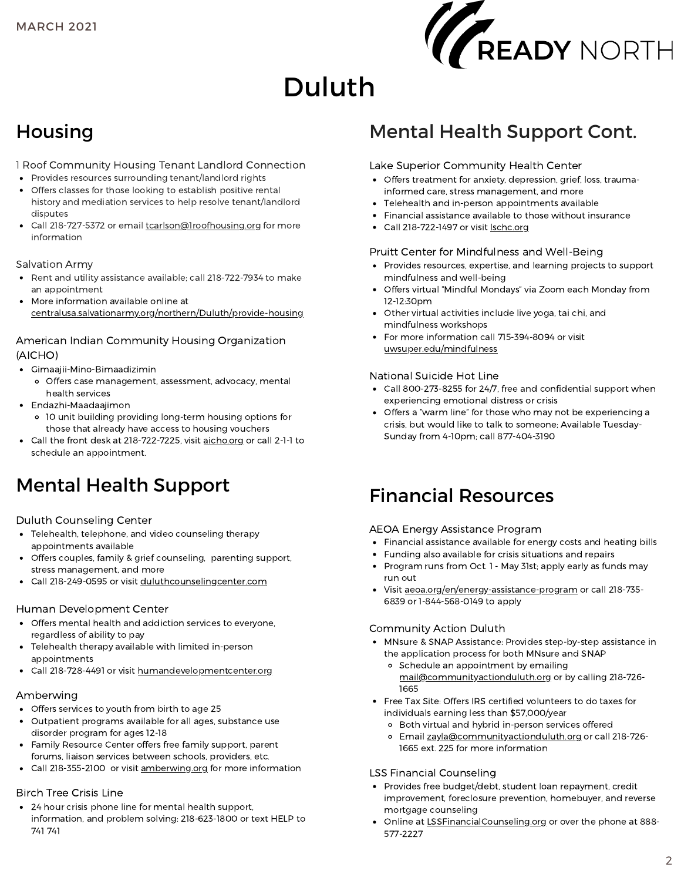

# Duluth

### Housing

1 Roof Community Housing Tenant Landlord Connection

- Provides resources surrounding tenant/landlord rights
- Offers classes for those looking to establish positive rental history and mediation services to help resolve tenant/landlord disputes
- Call 218-727-5372 or email [tcarlson@1roofhousing.org](http://1roofhousing.org/) for more information

#### Salvation Army

- Rent and utility assistance available; call 218-722-7934 to make an appointment
- More information available online at [centralusa.salvationarmy.org/northern/Duluth/provide-housing](http://centralusa.salvationarmy.org/northern/Duluth/provide-housing)

#### American Indian Community Housing Organization (AICHO)

- Gimaajii-Mino-Bimaadizimin
	- Offers case management, assessment, advocacy, mental health services
- Endazhi-Maadaajimon
- 10 unit building providing long-term housing options for those that already have access to housing vouchers
- Call the front desk at 218-722-7225, visit [aicho.org](http://aicho.org/) or call 2-1-1 to schedule an appointment.

### Mental Health Support

#### Duluth Counseling Center

- Telehealth, telephone, and video counseling therapy appointments available
- Offers couples, family & grief counseling, parenting support, stress management, and more
- Call 218-249-0595 or visit [duluthcounselingcenter.com](http://duluthcounselingcenter.com/)

#### Human Development Center

- Offers mental health and addiction services to everyone, regardless of ability to pay
- Telehealth therapy available with limited in-person appointments
- Call 218-728-4491 or visit [humandevelopmentcenter.org](http://humandevelopmentcenter.org/)

#### Amberwing

- Offers services to youth from birth to age 25
- Outpatient programs available for all ages, substance use disorder program for ages 12-18
- Family Resource Center offers free family support, parent forums, liaison services between schools, providers, etc.
- Call 218-355-2100 or visit [amberwing.org](http://amberwing.org/) for more information

#### Birch Tree Crisis Line

24 hour crisis phone line for mental health support, information, and problem solving: 218-623-1800 or text HELP to 741 741

### Mental Health Support Cont.

#### Lake Superior Community Health Center

- Offers treatment for anxiety, depression, grief, loss, traumainformed care, stress management, and more
- Telehealth and in-person appointments available
- Financial assistance available to those without insurance
- Call 218-722-1497 or visit [lschc.org](http://lschc.org/)

#### Pruitt Center for Mindfulness and Well-Being

- Provides resources, expertise, and learning projects to support mindfulness and well-being
- Offers virtual "Mindful Mondays" via Zoom each Monday from 12-12:30pm
- Other virtual activities include live yoga, tai chi, and mindfulness workshops
- For more information call 715-394-8094 or visit [uwsuper.edu/mindfulness](http://uwsuper.edu/mindfulness)

#### National Suicide Hot Line

- Call 800-273-8255 for 24/7, free and confidential support when experiencing emotional distress or crisis
- Offers a "warm line" for those who may not be experiencing a crisis, but would like to talk to someone; Available Tuesday-Sunday from 4-10pm; call 877-404-3190

### Financial Resources

#### AEOA Energy Assistance Program

- Financial assistance available for energy costs and heating bills
- Funding also available for crisis situations and repairs
- Program runs from Oct. 1 May 31st; apply early as funds may run out
- visit [aeoa.org/en/energy-assistance-program](http://aeoa.org/en/energy-assistance-program) or call 218-735-6839 or 1-844-568-0149 to apply

#### Community Action Duluth

- MNsure & SNAP Assistance: Provides step-by-step assistance in the application process for both MNsure and SNAP
	- o Schedule an appointment by emailing [mail@communityactionduluth.org](http://communityactionduluth.org/) or by calling 218-726- 1665
- Free Tax Site: Offers IRS certified volunteers to do taxes for individuals earning less than \$57,000/year
	- Both virtual and hybrid in-person services offered
	- o Email [zayla@communityactionduluth.org](http://communityactionduluth.org/) or call 218-726-1665 ext. 225 for more information

#### LSS Financial Counseling

- Provides free budget/debt, student loan repayment, credit improvement, foreclosure prevention, homebuyer, and reverse mortgage counseling
- Online at [LSSFinancialCounseling.org](http://lssfinancialcounseling.org/) or over the phone at 888- 577-2227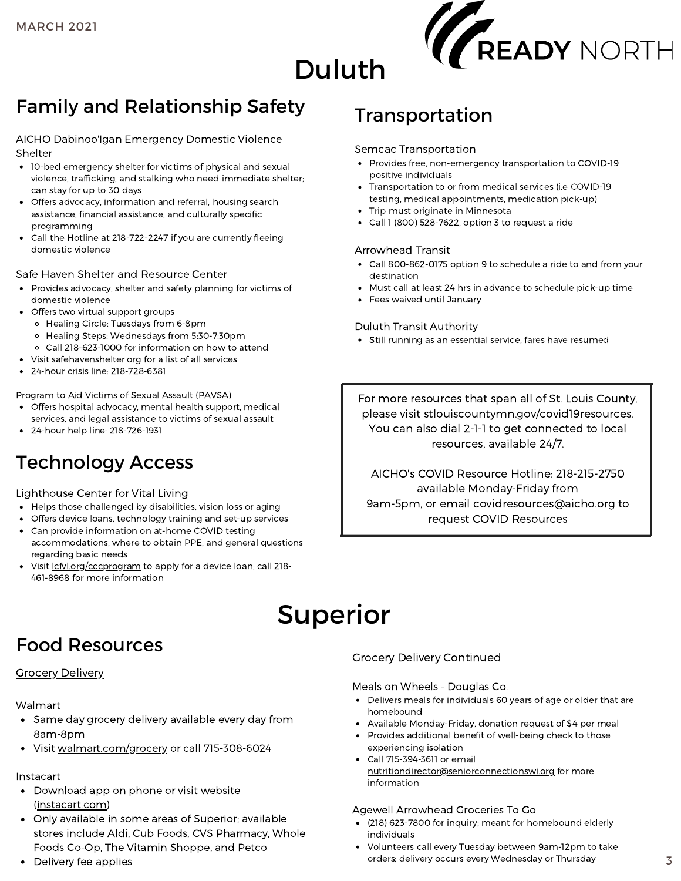

## Duluth

### Family and Relationship Safety

AICHO Dabinoo'Igan Emergency Domestic Violence Shelter

- 10-bed emergency shelter for victims of physical and sexual violence, trafficking, and stalking who need immediate shelter; can stay for up to 30 days
- Offers advocacy, information and referral, housing search assistance, financial assistance, and culturally specific programming
- Call the Hotline at 218-722-2247 if you are currently fleeing domestic violence

#### Safe Haven Shelter and Resource Center

- Provides advocacy, shelter and safety planning for victims of domestic violence
- Offers two virtual support groups
	- Healing Circle: Tuesdays from 6-8pm
	- Healing Steps: Wednesdays from 5:30-7:30pm
	- Call 218-623-1000 for information on how to attend
- Visit [safehavenshelter.org](http://safehavenshelter.org/) for a list of all services
- 24-hour crisis line: 218-728-6381

Program to Aid Victims of Sexual Assault (PAVSA)

- Offers hospital advocacy, mental health support, medical services, and legal assistance to victims of sexual assault
- 24-hour help line: 218-726-1931

### Technology Access

#### Lighthouse Center for Vital Living

- Helps those challenged by disabilities, vision loss or aging
- Offers device loans, technology training and set-up services
- Can provide information on at-home COVID testing accommodations, where to obtain PPE, and general questions regarding basic needs
- Visit *cfvl.org/cccprogram* to apply for a device loan; call 218-461-8968 for more information

### Transportation

#### Semcac Transportation

- Provides free, non-emergency transportation to COVID-19 positive individuals
- Transportation to or from medical services (i.e COVID-19 testing, medical appointments, medication pick-up)
- Trip must originate in Minnesota
- Call 1 (800) 528-7622, option 3 to request a ride

#### Arrowhead Transit

- Call 800-862-0175 option 9 to schedule a ride to and from your destination
- Must call at least 24 hrs in advance to schedule pick-up time
- Fees waived until January

#### Duluth Transit Authority

Still running as an essential service, fares have resumed

For more resources that span all of St. Louis County, please visit [stlouiscountymn.gov/covid19resources](http://stlouiscountymn.gov/covid19resources). You can also dial 2-1-1 to get connected to local resources, available 24/7.

AICHO's COVID Resource Hotline: 218-215-2750 available Monday-Friday from 9am-5pm, or email [covidresources@aicho.org](http://aicho.org/) to request COVID Resources

## Superior

### Food Resources

#### **Grocery Delivery**

#### Walmart

- Same day grocery delivery available every day from 8am-8pm
- Visit [walmart.com/grocery](http://walmart.com/grocery) or call 715-308-6024

#### Instacart

- Download app on phone or visit website [\(instacart.com\)](https://www.instacart.com/store/home)
- Only available in some areas of Superior; available stores include Aldi, Cub Foods, CVS Pharmacy, Whole Foods Co-Op, The Vitamin Shoppe, and Petco
- Delivery fee applies

#### Grocery Delivery Continued

#### Meals on Wheels - Douglas Co.

- Delivers meals for individuals 60 years of age or older that are homebound
- Available Monday-Friday, donation request of \$4 per meal
- Provides additional benefit of well-being check to those experiencing isolation
- Call 715-394-3611 or email [nutritiondirector@seniorconnectionswi.org](http://seniorconnectionswi.org/) for more information

#### Agewell Arrowhead Groceries To Go

- (218) 623-7800 for inquiry; meant for homebound elderly individuals
- Volunteers call every Tuesday between 9am-12pm to take orders; delivery occurs every Wednesday or Thursday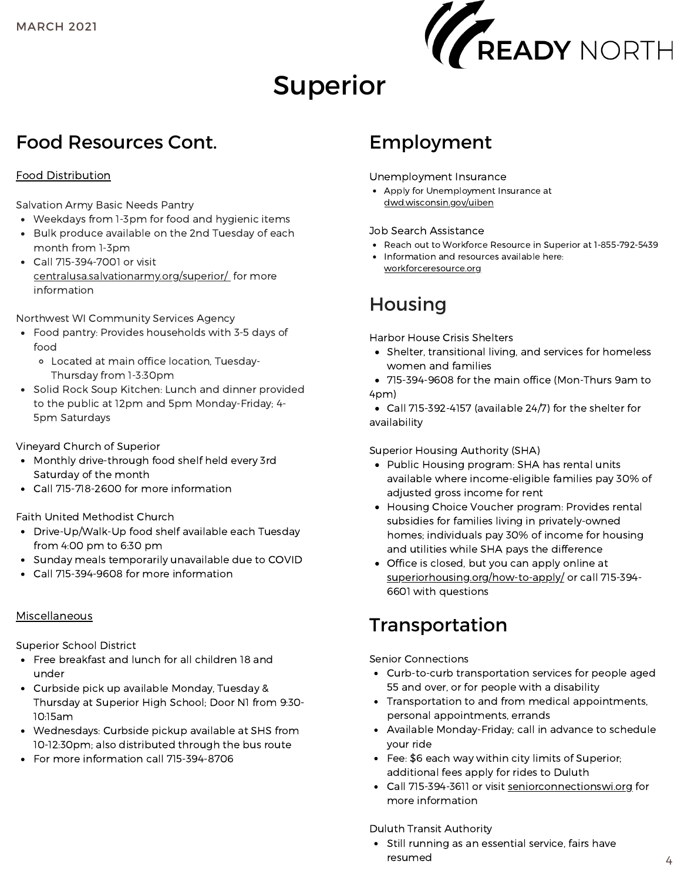

# Superior

### Food Resources Cont.

#### Food Distribution

Salvation Army Basic Needs Pantry

- Weekdays from 1-3pm for food and hygienic items
- Bulk produce available on the 2nd Tuesday of each month from 1-3pm
- Call 715-394-7001 or visit [centralusa.salvationarmy.org/superior/](http://centralusa.salvationarmy.org/superior/) for more information

Northwest WI Community Services Agency

- Food pantry: Provides households with 3-5 days of food
	- Located at main office location, Tuesday-Thursday from 1-3:30pm
- Solid Rock Soup Kitchen: Lunch and dinner provided to the public at 12pm and 5pm Monday-Friday; 4- 5pm Saturdays

Vineyard Church of Superior

- Monthly drive-through food shelf held every 3rd Saturday of the month
- Call 715-718-2600 for more information

Faith United Methodist Church

- Drive-Up/Walk-Up food shelf available each Tuesday from 4:00 pm to 6:30 pm
- Sunday meals temporarily unavailable due to COVID
- Call 715-394-9608 for more information

#### Miscellaneous

Superior School District

- Free breakfast and lunch for all children 18 and under
- Curbside pick up available Monday, Tuesday & Thursday at Superior High School; Door N1 from 9:30- 10:15am
- Wednesdays: Curbside pickup available at SHS from 10-12:30pm; also distributed through the bus route
- For more information call 715-394-8706

### Employment

Unemployment Insurance

Apply for Unemployment Insurance at [dwd.wisconsin.gov/uiben](http://dwd.wisconsin.gov/uiben)

#### Job Search Assistance

- Reach out to Workforce Resource in Superior at 1-855-792-5439
- Information and resources available here: [workforceresource.org](http://workforceresource.org/)

### Housing

Harbor House Crisis Shelters

- Shelter, transitional living, and services for homeless women and families
- 715-394-9608 for the main office (Mon-Thurs 9am to 4pm)

Call 715-392-4157 (available 24/7) for the shelter for availability

#### Superior Housing Authority (SHA)

- Public Housing program: SHA has rental units available where income-eligible families pay 30% of adjusted gross income for rent
- Housing Choice Voucher program: Provides rental subsidies for families living in privately-owned homes; individuals pay 30% of income for housing and utilities while SHA pays the difference
- Office is closed, but you can apply online at [superiorhousing.org/how-to-apply/](http://superiorhousing.org/how-to-apply/) or call 715-394-6601 with questions

### Transportation

Senior Connections

- Curb-to-curb transportation services for people aged 55 and over, or for people with a disability
- Transportation to and from medical appointments, personal appointments, errands
- Available Monday-Friday; call in advance to schedule your ride
- Fee: \$6 each way within city limits of Superior; additional fees apply for rides to Duluth
- Call 715-394-3611 or visit [seniorconnectionswi.org](http://seniorconnectionswi.org/) for more information

Duluth Transit Authority

• Still running as an essential service, fairs have resumed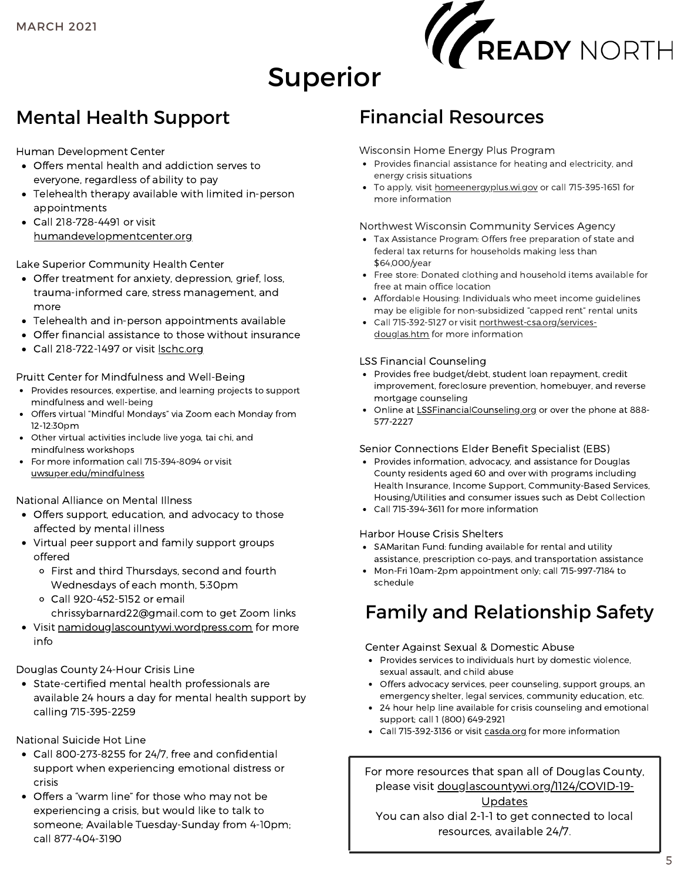

# Superior

### Mental Health Support

Human Development Center

- Offers mental health and addiction serves to everyone, regardless of ability to pay
- Telehealth therapy available with limited in-person appointments
- Call 218-728-4491 or visit [humandevelopmentcenter.org](http://humandevelopmentcenter.org/)

Lake Superior Community Health Center

- Offer treatment for anxiety, depression, grief, loss, trauma-informed care, stress management, and more
- Telehealth and in-person appointments available
- Offer financial assistance to those without insurance
- Call 218-722-1497 or visit [lschc.org](http://lschc.org/)

Pruitt Center for Mindfulness and Well-Being

- Provides resources, expertise, and learning projects to support mindfulness and well-being
- Offers virtual "Mindful Mondays" via Zoom each Monday from 12-12:30pm
- Other virtual activities include live yoga, tai chi, and mindfulness workshops
- For more information call 715-394-8094 or visit [uwsuper.edu/mindfulness](http://uwsuper.edu/mindfulness)

National Alliance on Mental Illness

- Offers support, education, and advocacy to those affected by mental illness
- Virtual peer support and family support groups offered
	- First and third Thursdays, second and fourth Wednesdays of each month, 5:30pm
	- Call 920-452-5152 or email chrissybarnard22@gmail.com to get Zoom links
- Visit [namidouglascountywi.wordpress.com](http://namidouglascountywi.wordpress.com/) for more info

Douglas County 24-Hour Crisis Line

State-certified mental health professionals are available 24 hours a day for mental health support by calling 715-395-2259

National Suicide Hot Line

- Call 800-273-8255 for 24/7, free and confidential support when experiencing emotional distress or crisis
- Offers a "warm line" for those who may not be experiencing a crisis, but would like to talk to someone; Available Tuesday-Sunday from 4-10pm; call 877-404-3190

### Financial Resources

#### Wisconsin Home Energy Plus Program

- Provides financial assistance for heating and electricity, and energy crisis situations
- To apply, visit [homeenergyplus.wi.gov](http://homeenergyplus.wi.gov/) or call 715-395-1651 for more information

#### Northwest Wisconsin Community Services Agency

- Tax Assistance Program: Offers free preparation of state and federal tax returns for households making less than \$64,000/year
- Free store: Donated clothing and household items available for free at main office location
- Affordable Housing: Individuals who meet income guidelines may be eligible for non-subsidized "capped rent" rental units
- Call 715-392-5127 or visit [northwest-csa.org/services](http://northwest-csa.org/services-douglas.htm)douglas.htm for more information

#### LSS Financial Counseling

- Provides free budget/debt, student loan repayment, credit improvement, foreclosure prevention, homebuyer, and reverse mortgage counseling
- Online at [LSSFinancialCounseling.org](http://lssfinancialcounseling.org/) or over the phone at 888- 577-2227

#### Senior Connections Elder Benefit Specialist (EBS)

- Provides information, advocacy, and assistance for Douglas County residents aged 60 and over with programs including Health Insurance, Income Support, Community-Based Services, Housing/Utilities and consumer issues such as Debt Collection
- Call 715-394-3611 for more information

#### Harbor House Crisis Shelters

- SAMaritan Fund: funding available for rental and utility assistance, prescription co-pays, and transportation assistance
- Mon-Fri 10am-2pm appointment only; call 715-997-7184 to schedule

### Family and Relationship Safety

#### Center Against Sexual & Domestic Abuse

- Provides services to individuals hurt by domestic violence, sexual assault, and child abuse
- Offers advocacy services, peer counseling, support groups, an emergency shelter, legal services, community education, etc.
- 24 hour help line available for crisis counseling and emotional support; call 1 (800) 649-2921
- Call 715-392-3136 or visit [casda.org](http://casda.org/) for more information

For more resources that span all of Douglas County, please visit [douglascountywi.org/1124/COVID-19-](http://douglascountywi.org/1124/COVID-19-Updates)

Updates

You can also dial 2-1-1 to get connected to local resources, available 24/7.